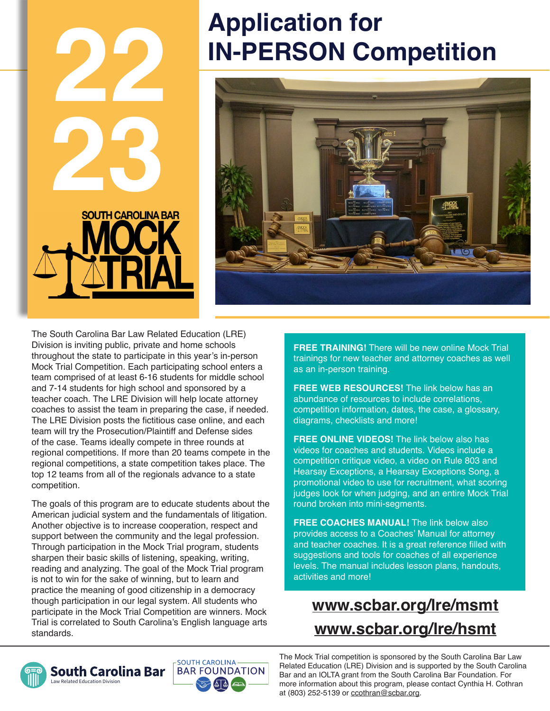

# **Application for IN-PERSON Competition**



The South Carolina Bar Law Related Education (LRE) Division is inviting public, private and home schools throughout the state to participate in this year's in-person Mock Trial Competition. Each participating school enters a team comprised of at least 6-16 students for middle school and 7-14 students for high school and sponsored by a teacher coach. The LRE Division will help locate attorney coaches to assist the team in preparing the case, if needed. The LRE Division posts the fictitious case online, and each team will try the Prosecution/Plaintiff and Defense sides of the case. Teams ideally compete in three rounds at regional competitions. If more than 20 teams compete in the regional competitions, a state competition takes place. The top 12 teams from all of the regionals advance to a state competition.

The goals of this program are to educate students about the American judicial system and the fundamentals of litigation. Another objective is to increase cooperation, respect and support between the community and the legal profession. Through participation in the Mock Trial program, students sharpen their basic skills of listening, speaking, writing, reading and analyzing. The goal of the Mock Trial program is not to win for the sake of winning, but to learn and practice the meaning of good citizenship in a democracy though participation in our legal system. All students who participate in the Mock Trial Competition are winners. Mock Trial is correlated to South Carolina's English language arts standards.

**FREE TRAINING!** There will be new online Mock Trial trainings for new teacher and attorney coaches as well as an in-person training.

**FREE WEB RESOURCES!** The link below has an abundance of resources to include correlations, competition information, dates, the case, a glossary, diagrams, checklists and more!

**FREE ONLINE VIDEOS!** The link below also has videos for coaches and students. Videos include a competition critique video, a video on Rule 803 and Hearsay Exceptions, a Hearsay Exceptions Song, a promotional video to use for recruitment, what scoring judges look for when judging, and an entire Mock Trial round broken into mini-segments.

**FREE COACHES MANUAL!** The link below also provides access to a Coaches' Manual for attorney and teacher coaches. It is a great reference filled with suggestions and tools for coaches of all experience levels. The manual includes lesson plans, handouts, activities and more!

# **www.scbar.org/lre/msmt www.scbar.org/lre/hsmt**



aw Related Education Division

The Mock Trial competition is sponsored by the South Carolina Bar Law Related Education (LRE) Division and is supported by the South Carolina Bar and an IOLTA grant from the South Carolina Bar Foundation. For more information about this program, please contact Cynthia H. Cothran at (803) 252-5139 or ccothran@scbar.org.

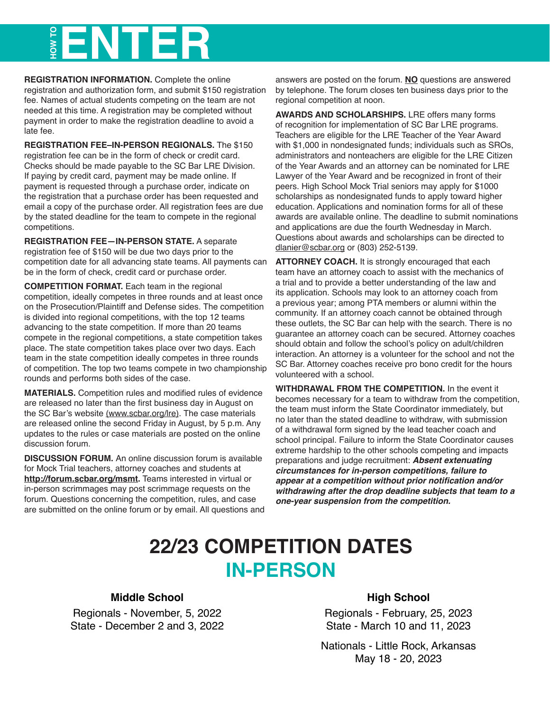# **HOW TO ENTER**

**REGISTRATION INFORMATION.** Complete the online registration and authorization form, and submit \$150 registration fee. Names of actual students competing on the team are not needed at this time. A registration may be completed without payment in order to make the registration deadline to avoid a late fee.

**REGISTRATION FEE–IN-PERSON REGIONALS.** The \$150 registration fee can be in the form of check or credit card. Checks should be made payable to the SC Bar LRE Division. If paying by credit card, payment may be made online. If payment is requested through a purchase order, indicate on the registration that a purchase order has been requested and email a copy of the purchase order. All registration fees are due by the stated deadline for the team to compete in the regional competitions.

**REGISTRATION FEE—IN-PERSON STATE.** A separate registration fee of \$150 will be due two days prior to the competition date for all advancing state teams. All payments can be in the form of check, credit card or purchase order.

**COMPETITION FORMAT.** Each team in the regional competition, ideally competes in three rounds and at least once on the Prosecution/Plaintiff and Defense sides. The competition is divided into regional competitions, with the top 12 teams advancing to the state competition. If more than 20 teams compete in the regional competitions, a state competition takes place. The state competition takes place over two days. Each team in the state competition ideally competes in three rounds of competition. The top two teams compete in two championship rounds and performs both sides of the case.

**MATERIALS.** Competition rules and modified rules of evidence are released no later than the first business day in August on the SC Bar's website (www.scbar.org/lre). The case materials are released online the second Friday in August, by 5 p.m. Any updates to the rules or case materials are posted on the online discussion forum.

**DISCUSSION FORUM.** An online discussion forum is available for Mock Trial teachers, attorney coaches and students at **http://forum.scbar.org/msmt.** Teams interested in virtual or in-person scrimmages may post scrimmage requests on the forum. Questions concerning the competition, rules, and case are submitted on the online forum or by email. All questions and answers are posted on the forum. **NO** questions are answered by telephone. The forum closes ten business days prior to the regional competition at noon.

**AWARDS AND SCHOLARSHIPS.** LRE offers many forms of recognition for implementation of SC Bar LRE programs. Teachers are eligible for the LRE Teacher of the Year Award with \$1,000 in nondesignated funds; individuals such as SROs, administrators and nonteachers are eligible for the LRE Citizen of the Year Awards and an attorney can be nominated for LRE Lawyer of the Year Award and be recognized in front of their peers. High School Mock Trial seniors may apply for \$1000 scholarships as nondesignated funds to apply toward higher education. Applications and nomination forms for all of these awards are available online. The deadline to submit nominations and applications are due the fourth Wednesday in March. Questions about awards and scholarships can be directed to dlanier@scbar.org or (803) 252-5139.

**ATTORNEY COACH.** It is strongly encouraged that each team have an attorney coach to assist with the mechanics of a trial and to provide a better understanding of the law and its application. Schools may look to an attorney coach from a previous year; among PTA members or alumni within the community. If an attorney coach cannot be obtained through these outlets, the SC Bar can help with the search. There is no guarantee an attorney coach can be secured. Attorney coaches should obtain and follow the school's policy on adult/children interaction. An attorney is a volunteer for the school and not the SC Bar. Attorney coaches receive pro bono credit for the hours volunteered with a school.

**WITHDRAWAL FROM THE COMPETITION.** In the event it becomes necessary for a team to withdraw from the competition, the team must inform the State Coordinator immediately, but no later than the stated deadline to withdraw, with submission of a withdrawal form signed by the lead teacher coach and school principal. Failure to inform the State Coordinator causes extreme hardship to the other schools competing and impacts preparations and judge recruitment: **Absent extenuating circumstances for in-person competitions, failure to appear at a competition without prior notification and/or withdrawing after the drop deadline subjects that team to a one-year suspension from the competition.**

# **22/23 COMPETITION DATES IN-PERSON**

#### **Middle School**

Regionals - November, 5, 2022 State - December 2 and 3, 2022

#### **High School**

Regionals - February, 25, 2023 State - March 10 and 11, 2023

Nationals - Little Rock, Arkansas May 18 - 20, 2023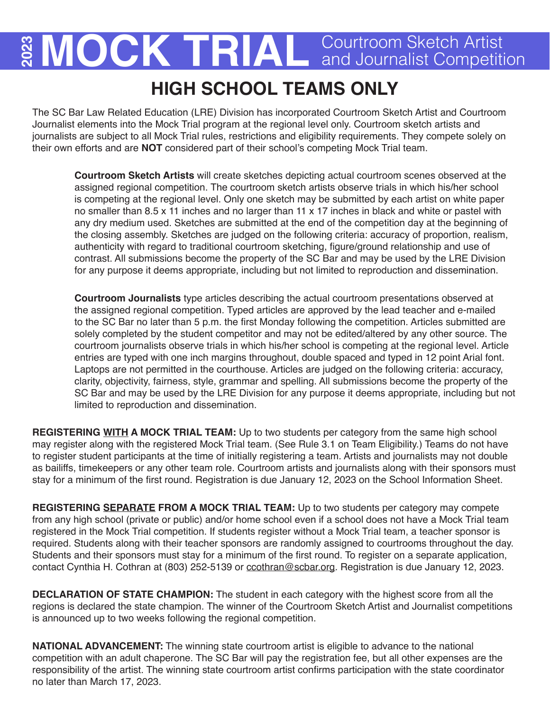# **2** MOCK TRIAL Courtroom Sketch Artist

# **HIGH SCHOOL TEAMS ONLY**

The SC Bar Law Related Education (LRE) Division has incorporated Courtroom Sketch Artist and Courtroom Journalist elements into the Mock Trial program at the regional level only. Courtroom sketch artists and journalists are subject to all Mock Trial rules, restrictions and eligibility requirements. They compete solely on their own efforts and are **NOT** considered part of their school's competing Mock Trial team.

**Courtroom Sketch Artists** will create sketches depicting actual courtroom scenes observed at the assigned regional competition. The courtroom sketch artists observe trials in which his/her school is competing at the regional level. Only one sketch may be submitted by each artist on white paper no smaller than 8.5 x 11 inches and no larger than 11 x 17 inches in black and white or pastel with any dry medium used. Sketches are submitted at the end of the competition day at the beginning of the closing assembly. Sketches are judged on the following criteria: accuracy of proportion, realism, authenticity with regard to traditional courtroom sketching, figure/ground relationship and use of contrast. All submissions become the property of the SC Bar and may be used by the LRE Division for any purpose it deems appropriate, including but not limited to reproduction and dissemination.

**Courtroom Journalists** type articles describing the actual courtroom presentations observed at the assigned regional competition. Typed articles are approved by the lead teacher and e-mailed to the SC Bar no later than 5 p.m. the first Monday following the competition. Articles submitted are solely completed by the student competitor and may not be edited/altered by any other source. The courtroom journalists observe trials in which his/her school is competing at the regional level. Article entries are typed with one inch margins throughout, double spaced and typed in 12 point Arial font. Laptops are not permitted in the courthouse. Articles are judged on the following criteria: accuracy, clarity, objectivity, fairness, style, grammar and spelling. All submissions become the property of the SC Bar and may be used by the LRE Division for any purpose it deems appropriate, including but not limited to reproduction and dissemination.

**REGISTERING WITH A MOCK TRIAL TEAM:** Up to two students per category from the same high school may register along with the registered Mock Trial team. (See Rule 3.1 on Team Eligibility.) Teams do not have to register student participants at the time of initially registering a team. Artists and journalists may not double as bailiffs, timekeepers or any other team role. Courtroom artists and journalists along with their sponsors must stay for a minimum of the first round. Registration is due January 12, 2023 on the School Information Sheet.

**REGISTERING SEPARATE FROM A MOCK TRIAL TEAM:** Up to two students per category may compete from any high school (private or public) and/or home school even if a school does not have a Mock Trial team registered in the Mock Trial competition. If students register without a Mock Trial team, a teacher sponsor is required. Students along with their teacher sponsors are randomly assigned to courtrooms throughout the day. Students and their sponsors must stay for a minimum of the first round. To register on a separate application, contact Cynthia H. Cothran at (803) 252-5139 or ccothran@scbar.org. Registration is due January 12, 2023.

**DECLARATION OF STATE CHAMPION:** The student in each category with the highest score from all the regions is declared the state champion. The winner of the Courtroom Sketch Artist and Journalist competitions is announced up to two weeks following the regional competition.

**NATIONAL ADVANCEMENT:** The winning state courtroom artist is eligible to advance to the national competition with an adult chaperone. The SC Bar will pay the registration fee, but all other expenses are the responsibility of the artist. The winning state courtroom artist confirms participation with the state coordinator no later than March 17, 2023.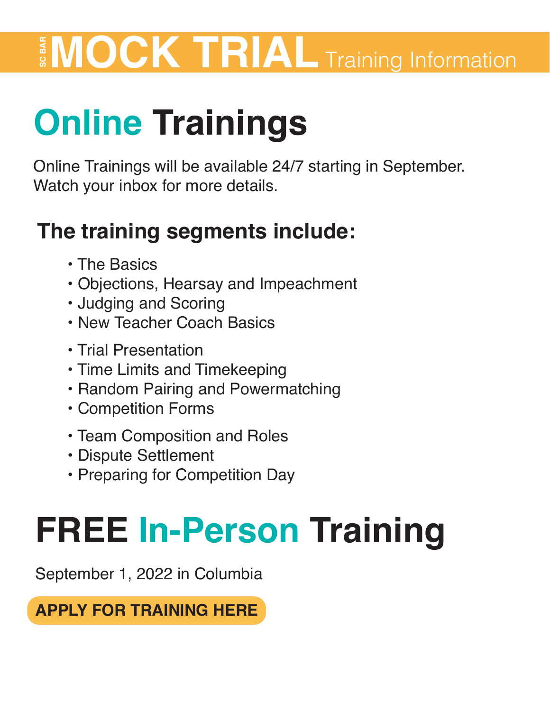# **MOCK TRIAL** Training Information<br> **Online Trainings Will be available 24/7 starting in September.**<br>
Watch your inbox for more details.

# **Online Trainings**

Online Trainings will be available 24/7 starting in September.

# **The training segments include:**

- The Basics
- Objections, Hearsay and Impeachment
- Judging and Scoring
- New Teacher Coach Basics
- Trial Presentation
- Time Limits and Timekeeping
- Random Pairing and Powermatching
- Competition Forms
- Team Composition and Roles
- Dispute Settlement
- Preparing for Competition Day

# **FREE In-Person Training**

September 1, 2022 in Columbia

**[APPLY FOR TRAINING HERE](https://www.jotform.com/form/212083543931048)**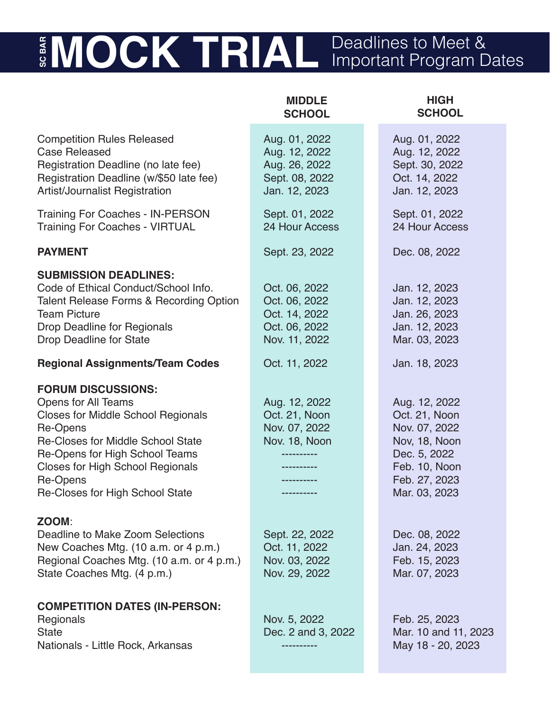# **MOCK TRIAL** Deadlines to Meet & Important Program Dates

**MIDDLE** 

**HIGH**

|                                                                                                                                                                                                                                                                                          | <b>SCHOOL</b>                                                                      | <b>SCHOOL</b>                                                                                                                       |
|------------------------------------------------------------------------------------------------------------------------------------------------------------------------------------------------------------------------------------------------------------------------------------------|------------------------------------------------------------------------------------|-------------------------------------------------------------------------------------------------------------------------------------|
| <b>Competition Rules Released</b><br><b>Case Released</b><br>Registration Deadline (no late fee)<br>Registration Deadline (w/\$50 late fee)<br><b>Artist/Journalist Registration</b>                                                                                                     | Aug. 01, 2022<br>Aug. 12, 2022<br>Aug. 26, 2022<br>Sept. 08, 2022<br>Jan. 12, 2023 | Aug. 01, 2022<br>Aug. 12, 2022<br>Sept. 30, 2022<br>Oct. 14, 2022<br>Jan. 12, 2023                                                  |
| <b>Training For Coaches - IN-PERSON</b><br><b>Training For Coaches - VIRTUAL</b>                                                                                                                                                                                                         | Sept. 01, 2022<br>24 Hour Access                                                   | Sept. 01, 2022<br>24 Hour Access                                                                                                    |
| <b>PAYMENT</b>                                                                                                                                                                                                                                                                           | Sept. 23, 2022                                                                     | Dec. 08, 2022                                                                                                                       |
| <b>SUBMISSION DEADLINES:</b><br>Code of Ethical Conduct/School Info.<br>Talent Release Forms & Recording Option<br><b>Team Picture</b><br><b>Drop Deadline for Regionals</b><br><b>Drop Deadline for State</b>                                                                           | Oct. 06, 2022<br>Oct. 06, 2022<br>Oct. 14, 2022<br>Oct. 06, 2022<br>Nov. 11, 2022  | Jan. 12, 2023<br>Jan. 12, 2023<br>Jan. 26, 2023<br>Jan. 12, 2023<br>Mar. 03, 2023                                                   |
| <b>Regional Assignments/Team Codes</b>                                                                                                                                                                                                                                                   | Oct. 11, 2022                                                                      | Jan. 18, 2023                                                                                                                       |
| <b>FORUM DISCUSSIONS:</b><br><b>Opens for All Teams</b><br><b>Closes for Middle School Regionals</b><br>Re-Opens<br><b>Re-Closes for Middle School State</b><br>Re-Opens for High School Teams<br><b>Closes for High School Regionals</b><br>Re-Opens<br>Re-Closes for High School State | Aug. 12, 2022<br>Oct. 21, Noon<br>Nov. 07, 2022<br>Nov. 18, Noon                   | Aug. 12, 2022<br>Oct. 21, Noon<br>Nov. 07, 2022<br>Nov, 18, Noon<br>Dec. 5, 2022<br>Feb. 10, Noon<br>Feb. 27, 2023<br>Mar. 03, 2023 |
| ZOOM:<br>Deadline to Make Zoom Selections<br>New Coaches Mtg. (10 a.m. or 4 p.m.)<br>Regional Coaches Mtg. (10 a.m. or 4 p.m.)<br>State Coaches Mtg. (4 p.m.)                                                                                                                            | Sept. 22, 2022<br>Oct. 11, 2022<br>Nov. 03, 2022<br>Nov. 29, 2022                  | Dec. 08, 2022<br>Jan. 24, 2023<br>Feb. 15, 2023<br>Mar. 07, 2023                                                                    |
| <b>COMPETITION DATES (IN-PERSON:</b><br>Regionals<br>State<br>Nationals - Little Rock, Arkansas                                                                                                                                                                                          | Nov. 5, 2022<br>Dec. 2 and 3, 2022                                                 | Feb. 25, 2023<br>Mar. 10 and 11, 2023<br>May 18 - 20, 2023                                                                          |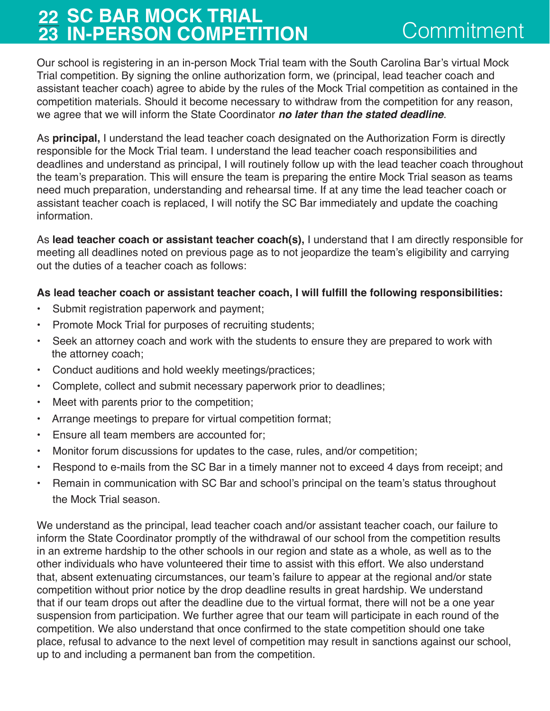## **22 SC BAR MOCK TRIAL 23 IN-PERSON COMPETITION** Commitment

Our school is registering in an in-person Mock Trial team with the South Carolina Bar's virtual Mock Trial competition. By signing the online authorization form, we (principal, lead teacher coach and assistant teacher coach) agree to abide by the rules of the Mock Trial competition as contained in the competition materials. Should it become necessary to withdraw from the competition for any reason, we agree that we will inform the State Coordinator **no later than the stated deadline**.

As **principal,** I understand the lead teacher coach designated on the Authorization Form is directly responsible for the Mock Trial team. I understand the lead teacher coach responsibilities and deadlines and understand as principal, I will routinely follow up with the lead teacher coach throughout the team's preparation. This will ensure the team is preparing the entire Mock Trial season as teams need much preparation, understanding and rehearsal time. If at any time the lead teacher coach or assistant teacher coach is replaced, I will notify the SC Bar immediately and update the coaching information.

As **lead teacher coach or assistant teacher coach(s),** I understand that I am directly responsible for meeting all deadlines noted on previous page as to not jeopardize the team's eligibility and carrying out the duties of a teacher coach as follows:

#### **As lead teacher coach or assistant teacher coach, I will fulfill the following responsibilities:**

- Submit registration paperwork and payment;
- Promote Mock Trial for purposes of recruiting students;
- Seek an attorney coach and work with the students to ensure they are prepared to work with the attorney coach;
- Conduct auditions and hold weekly meetings/practices;
- Complete, collect and submit necessary paperwork prior to deadlines;
- Meet with parents prior to the competition;
- Arrange meetings to prepare for virtual competition format;
- Ensure all team members are accounted for;
- Monitor forum discussions for updates to the case, rules, and/or competition;
- Respond to e-mails from the SC Bar in a timely manner not to exceed 4 days from receipt; and
- Remain in communication with SC Bar and school's principal on the team's status throughout the Mock Trial season.

We understand as the principal, lead teacher coach and/or assistant teacher coach, our failure to inform the State Coordinator promptly of the withdrawal of our school from the competition results in an extreme hardship to the other schools in our region and state as a whole, as well as to the other individuals who have volunteered their time to assist with this effort. We also understand that, absent extenuating circumstances, our team's failure to appear at the regional and/or state competition without prior notice by the drop deadline results in great hardship. We understand that if our team drops out after the deadline due to the virtual format, there will not be a one year suspension from participation. We further agree that our team will participate in each round of the competition. We also understand that once confirmed to the state competition should one take place, refusal to advance to the next level of competition may result in sanctions against our school, up to and including a permanent ban from the competition.